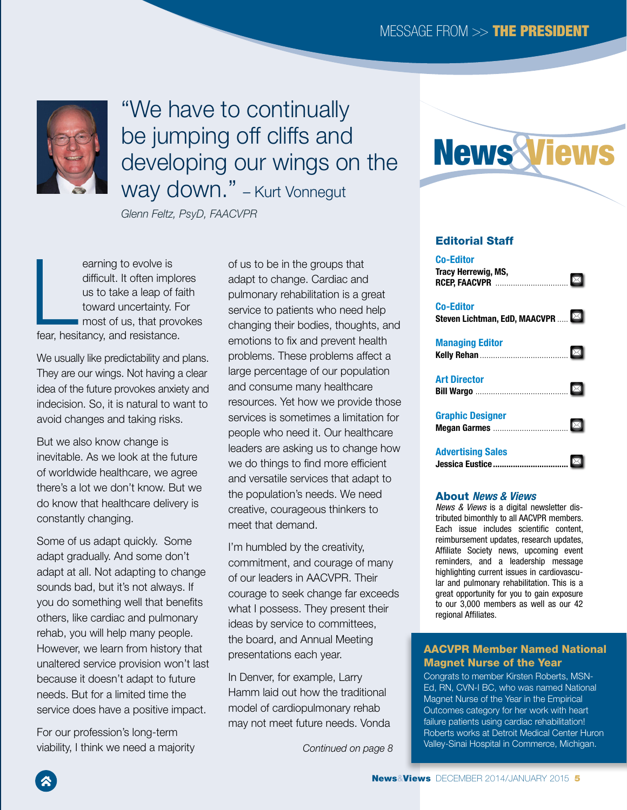

## "We have to continually be jumping off cliffs and developing our wings on the way down." – Kurt Vonnegut

*Glenn Feltz, PsyD, FAACVPR*

earning to evolve is<br>difficult. It often implo<br>us to take a leap of fa<br>toward uncertainty. F<br>most of us, that prov<br>fear, hesitancy, and resistance. earning to evolve is difficult. It often implores us to take a leap of faith toward uncertainty. For most of us, that provokes

We usually like predictability and plans. They are our wings. Not having a clear idea of the future provokes anxiety and indecision. So, it is natural to want to avoid changes and taking risks.

But we also know change is inevitable. As we look at the future of worldwide healthcare, we agree there's a lot we don't know. But we do know that healthcare delivery is constantly changing.

Some of us adapt quickly. Some adapt gradually. And some don't adapt at all. Not adapting to change sounds bad, but it's not always. If you do something well that benefits others, like cardiac and pulmonary rehab, you will help many people. However, we learn from history that unaltered service provision won't last because it doesn't adapt to future needs. But for a limited time the service does have a positive impact.

For our profession's long-term viability, I think we need a majority of us to be in the groups that adapt to change. Cardiac and pulmonary rehabilitation is a great service to patients who need help changing their bodies, thoughts, and emotions to fix and prevent health problems. These problems affect a large percentage of our population and consume many healthcare resources. Yet how we provide those services is sometimes a limitation for people who need it. Our healthcare leaders are asking us to change how we do things to find more efficient and versatile services that adapt to the population's needs. We need creative, courageous thinkers to meet that demand.

I'm humbled by the creativity, commitment, and courage of many of our leaders in AACVPR. Their courage to seek change far exceeds what I possess. They present their ideas by service to committees, the board, and Annual Meeting presentations each year.

In Denver, for example, Larry Hamm laid out how the traditional model of cardiopulmonary rehab may not meet future needs. Vonda



#### Editorial Staff

| <b>Co-Editor</b>                                  |  |
|---------------------------------------------------|--|
| <b>Co-Editor</b><br>Steven Lichtman, EdD, MAACVPR |  |
| <b>Managing Editor</b>                            |  |
| <b>Art Director</b>                               |  |
| <b>Graphic Designer</b>                           |  |
| <b>Advertising Sales</b>                          |  |

#### About *News & Views*

*News & Views* is a digital newsletter distributed bimonthly to all AACVPR members. Each issue includes scientific content, reimbursement updates, research updates, Affiliate Society news, upcoming event reminders, and a leadership message highlighting current issues in cardiovascular and pulmonary rehabilitation. This is a great opportunity for you to gain exposure to our 3,000 members as well as our 42 regional Affiliates.

#### AACVPR Member Named National Magnet Nurse of the Year

Congrats to member Kirsten Roberts, MSN-Ed, RN, CVN-I BC, who was named National Magnet Nurse of the Year in the Empirical Outcomes category for her work with heart failure patients using cardiac rehabilitation! Roberts works at Detroit Medical Center Huron Valley-Sinai Hospital in Commerce, Michigan. *Continued on page 8*